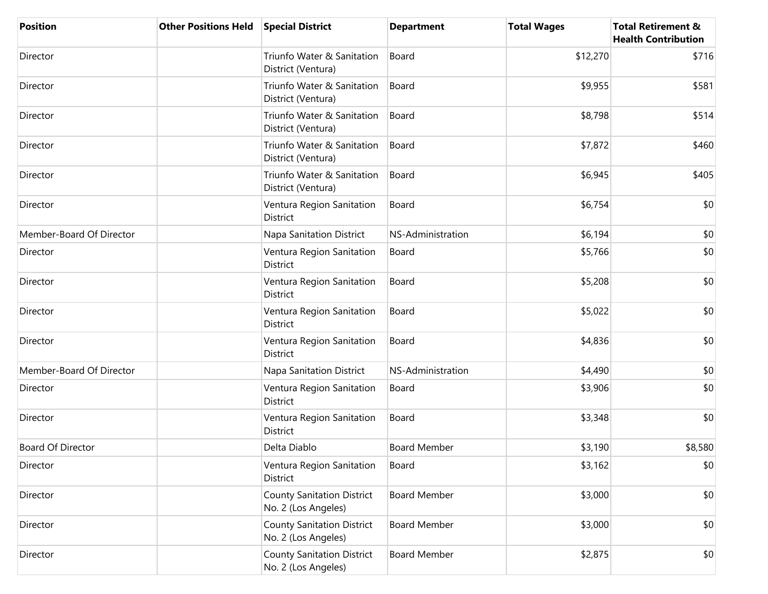| <b>Position</b>          | <b>Other Positions Held</b> | <b>Special District</b>                                  | <b>Department</b>   | <b>Total Wages</b> | <b>Total Retirement &amp;</b><br><b>Health Contribution</b> |
|--------------------------|-----------------------------|----------------------------------------------------------|---------------------|--------------------|-------------------------------------------------------------|
| Director                 |                             | Triunfo Water & Sanitation<br>District (Ventura)         | Board               | \$12,270           | \$716                                                       |
| Director                 |                             | Triunfo Water & Sanitation<br>District (Ventura)         | Board               | \$9,955            | \$581                                                       |
| Director                 |                             | Triunfo Water & Sanitation<br>District (Ventura)         | Board               | \$8,798            | \$514                                                       |
| Director                 |                             | Triunfo Water & Sanitation<br>District (Ventura)         | Board               | \$7,872            | \$460                                                       |
| Director                 |                             | Triunfo Water & Sanitation<br>District (Ventura)         | Board               | \$6,945            | \$405                                                       |
| Director                 |                             | Ventura Region Sanitation<br><b>District</b>             | Board               | \$6,754            | \$0                                                         |
| Member-Board Of Director |                             | Napa Sanitation District                                 | NS-Administration   | \$6,194            | \$0                                                         |
| Director                 |                             | Ventura Region Sanitation<br>District                    | Board               | \$5,766            | \$0                                                         |
| Director                 |                             | Ventura Region Sanitation<br>District                    | Board               | \$5,208            | \$0                                                         |
| Director                 |                             | Ventura Region Sanitation<br>District                    | Board               | \$5,022            | \$0                                                         |
| Director                 |                             | Ventura Region Sanitation<br>District                    | Board               | \$4,836            | \$0                                                         |
| Member-Board Of Director |                             | Napa Sanitation District                                 | NS-Administration   | \$4,490            | \$0                                                         |
| Director                 |                             | Ventura Region Sanitation<br>District                    | Board               | \$3,906            | \$0                                                         |
| Director                 |                             | Ventura Region Sanitation<br>District                    | Board               | \$3,348            | \$0                                                         |
| <b>Board Of Director</b> |                             | Delta Diablo                                             | <b>Board Member</b> | \$3,190            | \$8,580                                                     |
| Director                 |                             | Ventura Region Sanitation<br>District                    | Board               | \$3,162            | \$0                                                         |
| Director                 |                             | <b>County Sanitation District</b><br>No. 2 (Los Angeles) | <b>Board Member</b> | \$3,000            | \$0                                                         |
| Director                 |                             | <b>County Sanitation District</b><br>No. 2 (Los Angeles) | <b>Board Member</b> | \$3,000            | \$0                                                         |
| Director                 |                             | <b>County Sanitation District</b><br>No. 2 (Los Angeles) | <b>Board Member</b> | \$2,875            | \$0                                                         |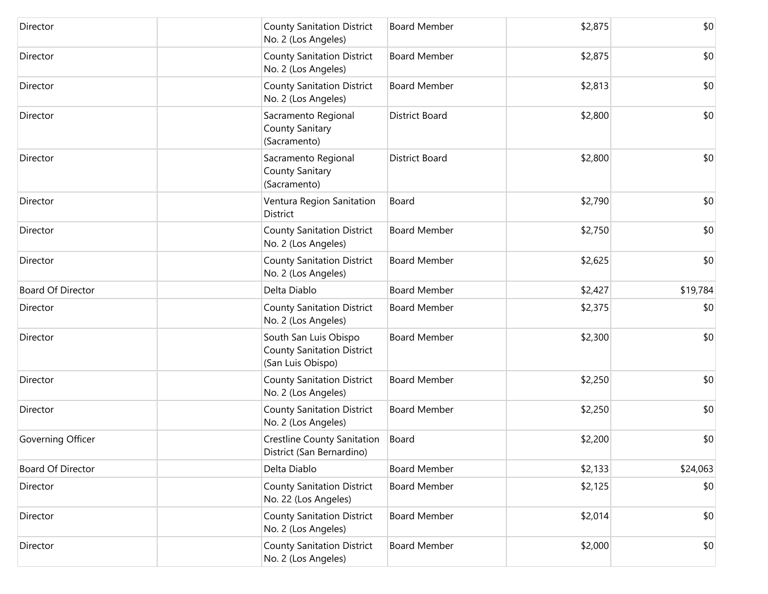| Director                 | <b>County Sanitation District</b><br>No. 2 (Los Angeles)                        | <b>Board Member</b>   | \$2,875 | \$0      |
|--------------------------|---------------------------------------------------------------------------------|-----------------------|---------|----------|
| Director                 | <b>County Sanitation District</b><br>No. 2 (Los Angeles)                        | <b>Board Member</b>   | \$2,875 | \$0      |
| Director                 | <b>County Sanitation District</b><br>No. 2 (Los Angeles)                        | <b>Board Member</b>   | \$2,813 | \$0      |
| Director                 | Sacramento Regional<br>County Sanitary<br>(Sacramento)                          | <b>District Board</b> | \$2,800 | \$0      |
| Director                 | Sacramento Regional<br>County Sanitary<br>(Sacramento)                          | <b>District Board</b> | \$2,800 | \$0      |
| Director                 | Ventura Region Sanitation<br>District                                           | Board                 | \$2,790 | \$0      |
| Director                 | <b>County Sanitation District</b><br>No. 2 (Los Angeles)                        | <b>Board Member</b>   | \$2,750 | \$0      |
| Director                 | <b>County Sanitation District</b><br>No. 2 (Los Angeles)                        | <b>Board Member</b>   | \$2,625 | \$0      |
| <b>Board Of Director</b> | Delta Diablo                                                                    | <b>Board Member</b>   | \$2,427 | \$19,784 |
| Director                 | <b>County Sanitation District</b><br>No. 2 (Los Angeles)                        | <b>Board Member</b>   | \$2,375 | \$0      |
| Director                 | South San Luis Obispo<br><b>County Sanitation District</b><br>(San Luis Obispo) | <b>Board Member</b>   | \$2,300 | \$0      |
| Director                 | <b>County Sanitation District</b><br>No. 2 (Los Angeles)                        | <b>Board Member</b>   | \$2,250 | \$0      |
| Director                 | <b>County Sanitation District</b><br>No. 2 (Los Angeles)                        | <b>Board Member</b>   | \$2,250 | \$0      |
| Governing Officer        | Crestline County Sanitation<br>District (San Bernardino)                        | Board                 | \$2,200 | \$0      |
| <b>Board Of Director</b> | Delta Diablo                                                                    | <b>Board Member</b>   | \$2,133 | \$24,063 |
| Director                 | <b>County Sanitation District</b><br>No. 22 (Los Angeles)                       | <b>Board Member</b>   | \$2,125 | \$0      |
| Director                 | <b>County Sanitation District</b><br>No. 2 (Los Angeles)                        | <b>Board Member</b>   | \$2,014 | \$0      |
| Director                 | <b>County Sanitation District</b><br>No. 2 (Los Angeles)                        | <b>Board Member</b>   | \$2,000 | \$0      |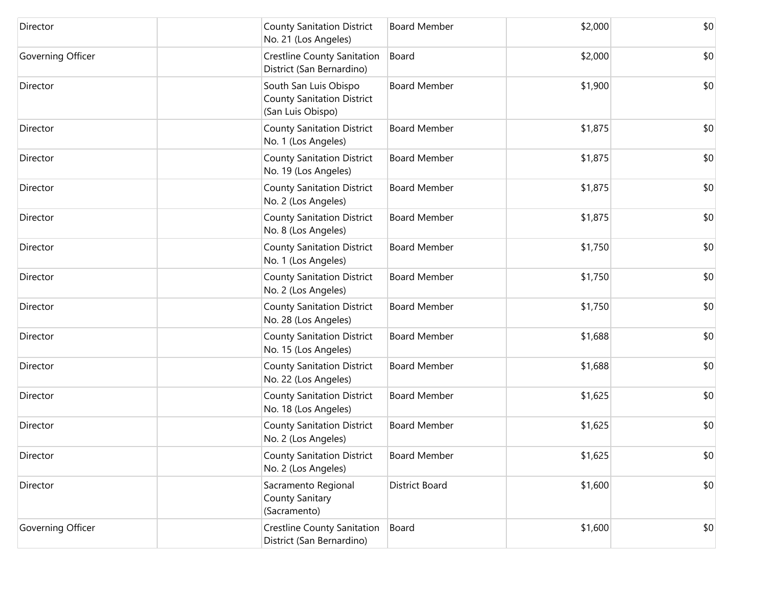| Director          | <b>County Sanitation District</b><br>No. 21 (Los Angeles)                       | <b>Board Member</b> | \$2,000 | \$0 |
|-------------------|---------------------------------------------------------------------------------|---------------------|---------|-----|
| Governing Officer | Crestline County Sanitation<br>District (San Bernardino)                        | Board               | \$2,000 | \$0 |
| Director          | South San Luis Obispo<br><b>County Sanitation District</b><br>(San Luis Obispo) | <b>Board Member</b> | \$1,900 | \$0 |
| Director          | <b>County Sanitation District</b><br>No. 1 (Los Angeles)                        | <b>Board Member</b> | \$1,875 | \$0 |
| Director          | <b>County Sanitation District</b><br>No. 19 (Los Angeles)                       | <b>Board Member</b> | \$1,875 | \$0 |
| Director          | <b>County Sanitation District</b><br>No. 2 (Los Angeles)                        | <b>Board Member</b> | \$1,875 | \$0 |
| Director          | <b>County Sanitation District</b><br>No. 8 (Los Angeles)                        | <b>Board Member</b> | \$1,875 | \$0 |
| Director          | <b>County Sanitation District</b><br>No. 1 (Los Angeles)                        | <b>Board Member</b> | \$1,750 | \$0 |
| Director          | <b>County Sanitation District</b><br>No. 2 (Los Angeles)                        | <b>Board Member</b> | \$1,750 | \$0 |
| Director          | <b>County Sanitation District</b><br>No. 28 (Los Angeles)                       | <b>Board Member</b> | \$1,750 | \$0 |
| Director          | <b>County Sanitation District</b><br>No. 15 (Los Angeles)                       | <b>Board Member</b> | \$1,688 | \$0 |
| Director          | <b>County Sanitation District</b><br>No. 22 (Los Angeles)                       | <b>Board Member</b> | \$1,688 | \$0 |
| Director          | <b>County Sanitation District</b><br>No. 18 (Los Angeles)                       | <b>Board Member</b> | \$1,625 | \$0 |
| Director          | <b>County Sanitation District</b><br>No. 2 (Los Angeles)                        | <b>Board Member</b> | \$1,625 | \$0 |
| Director          | <b>County Sanitation District</b><br>No. 2 (Los Angeles)                        | <b>Board Member</b> | \$1,625 | \$0 |
| Director          | Sacramento Regional<br>County Sanitary<br>(Sacramento)                          | District Board      | \$1,600 | \$0 |
| Governing Officer | Crestline County Sanitation<br>District (San Bernardino)                        | Board               | \$1,600 | \$0 |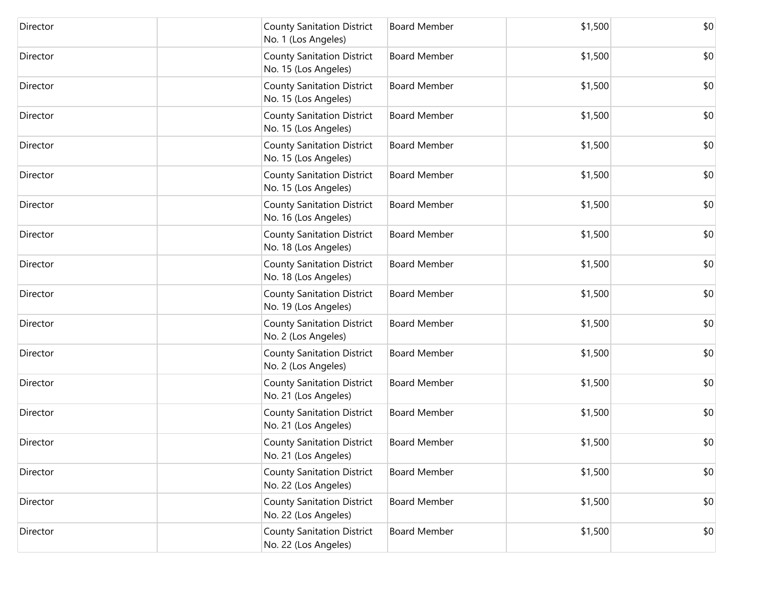| Director | <b>County Sanitation District</b><br>No. 1 (Los Angeles)  | <b>Board Member</b> | \$1,500 | \$0 |
|----------|-----------------------------------------------------------|---------------------|---------|-----|
| Director | <b>County Sanitation District</b><br>No. 15 (Los Angeles) | <b>Board Member</b> | \$1,500 | \$0 |
| Director | <b>County Sanitation District</b><br>No. 15 (Los Angeles) | <b>Board Member</b> | \$1,500 | \$0 |
| Director | <b>County Sanitation District</b><br>No. 15 (Los Angeles) | <b>Board Member</b> | \$1,500 | \$0 |
| Director | <b>County Sanitation District</b><br>No. 15 (Los Angeles) | <b>Board Member</b> | \$1,500 | \$0 |
| Director | <b>County Sanitation District</b><br>No. 15 (Los Angeles) | <b>Board Member</b> | \$1,500 | \$0 |
| Director | <b>County Sanitation District</b><br>No. 16 (Los Angeles) | <b>Board Member</b> | \$1,500 | \$0 |
| Director | <b>County Sanitation District</b><br>No. 18 (Los Angeles) | <b>Board Member</b> | \$1,500 | \$0 |
| Director | <b>County Sanitation District</b><br>No. 18 (Los Angeles) | <b>Board Member</b> | \$1,500 | \$0 |
| Director | <b>County Sanitation District</b><br>No. 19 (Los Angeles) | <b>Board Member</b> | \$1,500 | \$0 |
| Director | <b>County Sanitation District</b><br>No. 2 (Los Angeles)  | <b>Board Member</b> | \$1,500 | \$0 |
| Director | <b>County Sanitation District</b><br>No. 2 (Los Angeles)  | <b>Board Member</b> | \$1,500 | \$0 |
| Director | <b>County Sanitation District</b><br>No. 21 (Los Angeles) | <b>Board Member</b> | \$1,500 | \$0 |
| Director | <b>County Sanitation District</b><br>No. 21 (Los Angeles) | <b>Board Member</b> | \$1,500 | \$0 |
| Director | <b>County Sanitation District</b><br>No. 21 (Los Angeles) | <b>Board Member</b> | \$1,500 | \$0 |
| Director | <b>County Sanitation District</b><br>No. 22 (Los Angeles) | <b>Board Member</b> | \$1,500 | \$0 |
| Director | <b>County Sanitation District</b><br>No. 22 (Los Angeles) | <b>Board Member</b> | \$1,500 | \$0 |
| Director | <b>County Sanitation District</b><br>No. 22 (Los Angeles) | <b>Board Member</b> | \$1,500 | \$0 |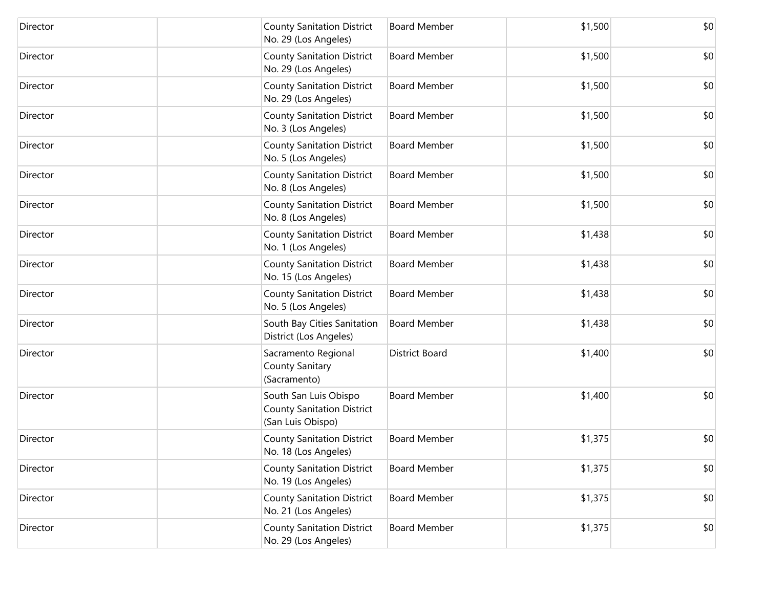| Director | <b>County Sanitation District</b><br>No. 29 (Los Angeles)                       | <b>Board Member</b>   | \$1,500 | \$0 |
|----------|---------------------------------------------------------------------------------|-----------------------|---------|-----|
| Director | <b>County Sanitation District</b><br>No. 29 (Los Angeles)                       | <b>Board Member</b>   | \$1,500 | \$0 |
| Director | <b>County Sanitation District</b><br>No. 29 (Los Angeles)                       | <b>Board Member</b>   | \$1,500 | \$0 |
| Director | <b>County Sanitation District</b><br>No. 3 (Los Angeles)                        | <b>Board Member</b>   | \$1,500 | \$0 |
| Director | <b>County Sanitation District</b><br>No. 5 (Los Angeles)                        | <b>Board Member</b>   | \$1,500 | \$0 |
| Director | <b>County Sanitation District</b><br>No. 8 (Los Angeles)                        | <b>Board Member</b>   | \$1,500 | \$0 |
| Director | <b>County Sanitation District</b><br>No. 8 (Los Angeles)                        | <b>Board Member</b>   | \$1,500 | \$0 |
| Director | <b>County Sanitation District</b><br>No. 1 (Los Angeles)                        | <b>Board Member</b>   | \$1,438 | \$0 |
| Director | <b>County Sanitation District</b><br>No. 15 (Los Angeles)                       | <b>Board Member</b>   | \$1,438 | \$0 |
| Director | <b>County Sanitation District</b><br>No. 5 (Los Angeles)                        | <b>Board Member</b>   | \$1,438 | \$0 |
| Director | South Bay Cities Sanitation<br>District (Los Angeles)                           | <b>Board Member</b>   | \$1,438 | \$0 |
| Director | Sacramento Regional<br>County Sanitary<br>(Sacramento)                          | <b>District Board</b> | \$1,400 | \$0 |
| Director | South San Luis Obispo<br><b>County Sanitation District</b><br>(San Luis Obispo) | <b>Board Member</b>   | \$1,400 | \$0 |
| Director | <b>County Sanitation District</b><br>No. 18 (Los Angeles)                       | <b>Board Member</b>   | \$1,375 | \$0 |
| Director | <b>County Sanitation District</b><br>No. 19 (Los Angeles)                       | <b>Board Member</b>   | \$1,375 | \$0 |
| Director | <b>County Sanitation District</b><br>No. 21 (Los Angeles)                       | <b>Board Member</b>   | \$1,375 | \$0 |
| Director | <b>County Sanitation District</b><br>No. 29 (Los Angeles)                       | <b>Board Member</b>   | \$1,375 | \$0 |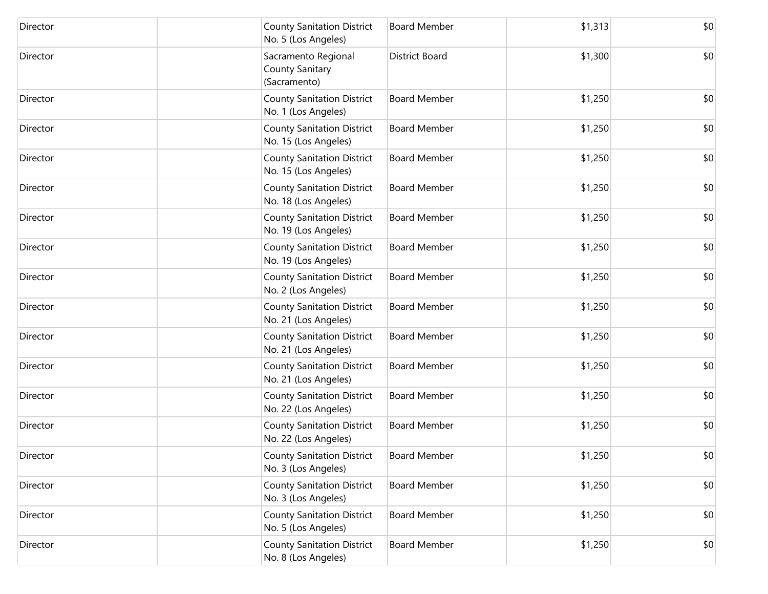| Director | <b>County Sanitation District</b><br>No. 5 (Los Angeles)  | <b>Board Member</b>   | \$1,313 | \$0 |
|----------|-----------------------------------------------------------|-----------------------|---------|-----|
| Director | Sacramento Regional<br>County Sanitary<br>(Sacramento)    | <b>District Board</b> | \$1,300 | \$0 |
| Director | <b>County Sanitation District</b><br>No. 1 (Los Angeles)  | <b>Board Member</b>   | \$1,250 | \$0 |
| Director | <b>County Sanitation District</b><br>No. 15 (Los Angeles) | <b>Board Member</b>   | \$1,250 | \$0 |
| Director | <b>County Sanitation District</b><br>No. 15 (Los Angeles) | <b>Board Member</b>   | \$1,250 | \$0 |
| Director | <b>County Sanitation District</b><br>No. 18 (Los Angeles) | <b>Board Member</b>   | \$1,250 | \$0 |
| Director | <b>County Sanitation District</b><br>No. 19 (Los Angeles) | <b>Board Member</b>   | \$1,250 | \$0 |
| Director | <b>County Sanitation District</b><br>No. 19 (Los Angeles) | <b>Board Member</b>   | \$1,250 | \$0 |
| Director | <b>County Sanitation District</b><br>No. 2 (Los Angeles)  | <b>Board Member</b>   | \$1,250 | \$0 |
| Director | <b>County Sanitation District</b><br>No. 21 (Los Angeles) | <b>Board Member</b>   | \$1,250 | \$0 |
| Director | <b>County Sanitation District</b><br>No. 21 (Los Angeles) | <b>Board Member</b>   | \$1,250 | \$0 |
| Director | <b>County Sanitation District</b><br>No. 21 (Los Angeles) | <b>Board Member</b>   | \$1,250 | \$0 |
| Director | <b>County Sanitation District</b><br>No. 22 (Los Angeles) | <b>Board Member</b>   | \$1,250 | \$0 |
| Director | <b>County Sanitation District</b><br>No. 22 (Los Angeles) | <b>Board Member</b>   | \$1,250 | \$0 |
| Director | <b>County Sanitation District</b><br>No. 3 (Los Angeles)  | <b>Board Member</b>   | \$1,250 | \$0 |
| Director | <b>County Sanitation District</b><br>No. 3 (Los Angeles)  | <b>Board Member</b>   | \$1,250 | \$0 |
| Director | <b>County Sanitation District</b><br>No. 5 (Los Angeles)  | <b>Board Member</b>   | \$1,250 | \$0 |
| Director | <b>County Sanitation District</b><br>No. 8 (Los Angeles)  | <b>Board Member</b>   | \$1,250 | \$0 |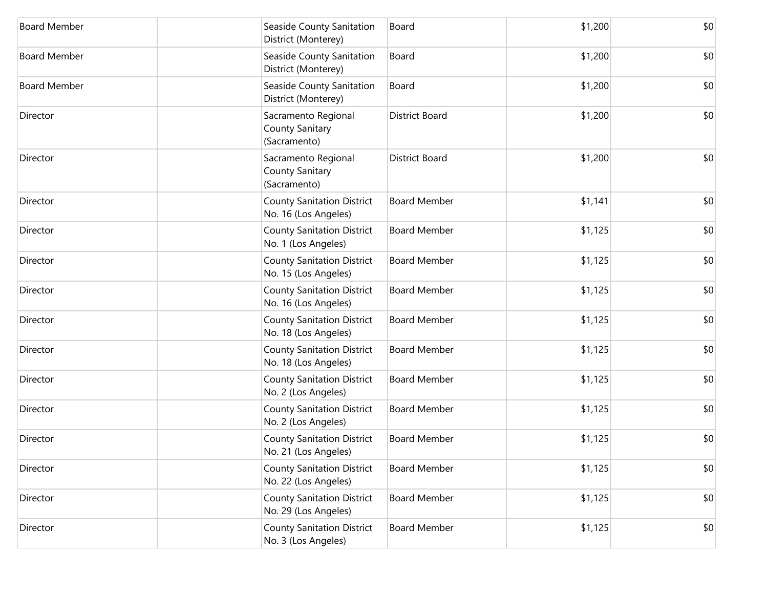| <b>Board Member</b> | Seaside County Sanitation<br>District (Monterey)          | Board                 | \$1,200 | \$0 |
|---------------------|-----------------------------------------------------------|-----------------------|---------|-----|
| <b>Board Member</b> | Seaside County Sanitation<br>District (Monterey)          | Board                 | \$1,200 | \$0 |
| <b>Board Member</b> | Seaside County Sanitation<br>District (Monterey)          | Board                 | \$1,200 | \$0 |
| Director            | Sacramento Regional<br>County Sanitary<br>(Sacramento)    | <b>District Board</b> | \$1,200 | \$0 |
| Director            | Sacramento Regional<br>County Sanitary<br>(Sacramento)    | <b>District Board</b> | \$1,200 | \$0 |
| Director            | <b>County Sanitation District</b><br>No. 16 (Los Angeles) | <b>Board Member</b>   | \$1,141 | \$0 |
| Director            | <b>County Sanitation District</b><br>No. 1 (Los Angeles)  | <b>Board Member</b>   | \$1,125 | \$0 |
| Director            | <b>County Sanitation District</b><br>No. 15 (Los Angeles) | <b>Board Member</b>   | \$1,125 | \$0 |
| Director            | <b>County Sanitation District</b><br>No. 16 (Los Angeles) | <b>Board Member</b>   | \$1,125 | \$0 |
| Director            | <b>County Sanitation District</b><br>No. 18 (Los Angeles) | <b>Board Member</b>   | \$1,125 | \$0 |
| Director            | <b>County Sanitation District</b><br>No. 18 (Los Angeles) | <b>Board Member</b>   | \$1,125 | \$0 |
| Director            | <b>County Sanitation District</b><br>No. 2 (Los Angeles)  | <b>Board Member</b>   | \$1,125 | \$0 |
| Director            | <b>County Sanitation District</b><br>No. 2 (Los Angeles)  | <b>Board Member</b>   | \$1,125 | \$0 |
| Director            | <b>County Sanitation District</b><br>No. 21 (Los Angeles) | <b>Board Member</b>   | \$1,125 | \$0 |
| Director            | <b>County Sanitation District</b><br>No. 22 (Los Angeles) | <b>Board Member</b>   | \$1,125 | \$0 |
| Director            | <b>County Sanitation District</b><br>No. 29 (Los Angeles) | <b>Board Member</b>   | \$1,125 | \$0 |
| Director            | <b>County Sanitation District</b><br>No. 3 (Los Angeles)  | <b>Board Member</b>   | \$1,125 | \$0 |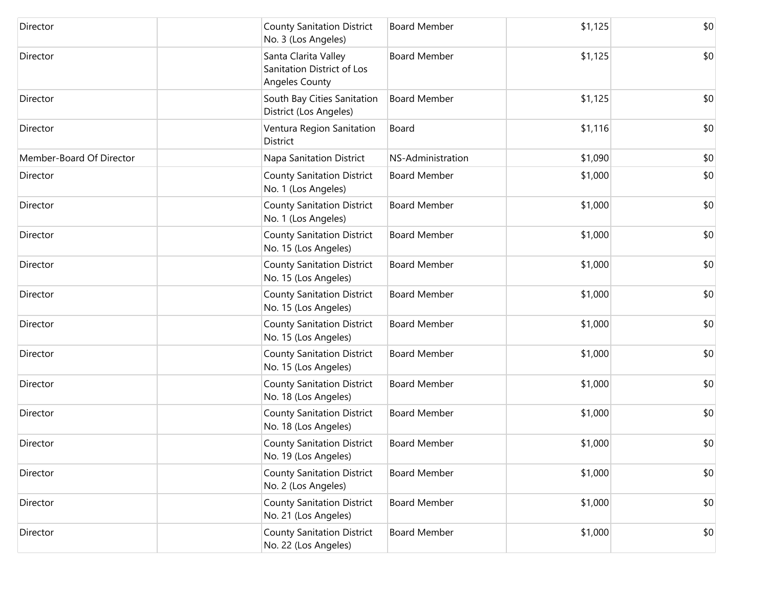| Director                 | <b>County Sanitation District</b><br>No. 3 (Los Angeles)                    | <b>Board Member</b> | \$1,125 | \$0 |
|--------------------------|-----------------------------------------------------------------------------|---------------------|---------|-----|
| Director                 | Santa Clarita Valley<br>Sanitation District of Los<br><b>Angeles County</b> | <b>Board Member</b> | \$1,125 | \$0 |
| Director                 | South Bay Cities Sanitation<br>District (Los Angeles)                       | <b>Board Member</b> | \$1,125 | \$0 |
| Director                 | Ventura Region Sanitation<br>District                                       | Board               | \$1,116 | \$0 |
| Member-Board Of Director | Napa Sanitation District                                                    | NS-Administration   | \$1,090 | \$0 |
| Director                 | <b>County Sanitation District</b><br>No. 1 (Los Angeles)                    | <b>Board Member</b> | \$1,000 | \$0 |
| Director                 | <b>County Sanitation District</b><br>No. 1 (Los Angeles)                    | <b>Board Member</b> | \$1,000 | \$0 |
| Director                 | <b>County Sanitation District</b><br>No. 15 (Los Angeles)                   | <b>Board Member</b> | \$1,000 | \$0 |
| Director                 | <b>County Sanitation District</b><br>No. 15 (Los Angeles)                   | <b>Board Member</b> | \$1,000 | \$0 |
| Director                 | <b>County Sanitation District</b><br>No. 15 (Los Angeles)                   | <b>Board Member</b> | \$1,000 | \$0 |
| Director                 | <b>County Sanitation District</b><br>No. 15 (Los Angeles)                   | <b>Board Member</b> | \$1,000 | \$0 |
| Director                 | <b>County Sanitation District</b><br>No. 15 (Los Angeles)                   | <b>Board Member</b> | \$1,000 | \$0 |
| Director                 | <b>County Sanitation District</b><br>No. 18 (Los Angeles)                   | <b>Board Member</b> | \$1,000 | \$0 |
| Director                 | <b>County Sanitation District</b><br>No. 18 (Los Angeles)                   | <b>Board Member</b> | \$1,000 | \$0 |
| Director                 | <b>County Sanitation District</b><br>No. 19 (Los Angeles)                   | <b>Board Member</b> | \$1,000 | \$0 |
| Director                 | <b>County Sanitation District</b><br>No. 2 (Los Angeles)                    | <b>Board Member</b> | \$1,000 | \$0 |
| Director                 | <b>County Sanitation District</b><br>No. 21 (Los Angeles)                   | <b>Board Member</b> | \$1,000 | \$0 |
| Director                 | <b>County Sanitation District</b><br>No. 22 (Los Angeles)                   | <b>Board Member</b> | \$1,000 | \$0 |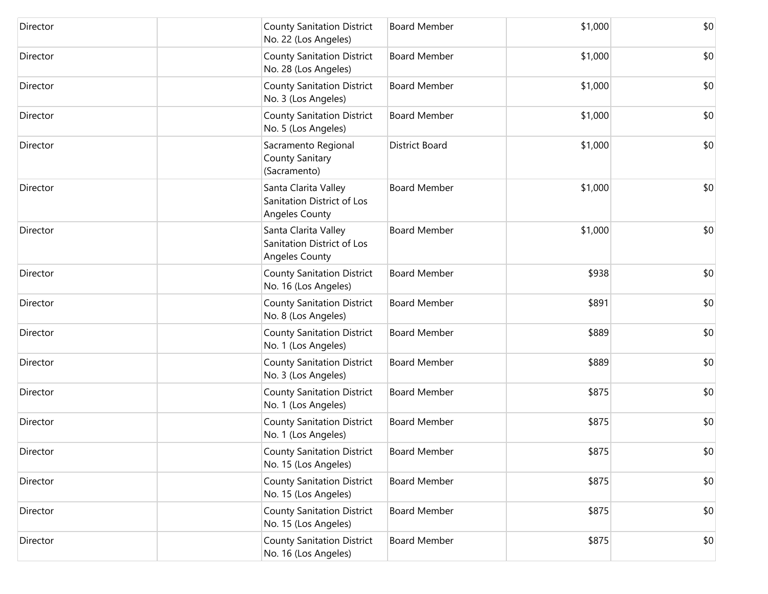| Director | <b>County Sanitation District</b><br>No. 22 (Los Angeles)                   | <b>Board Member</b>   | \$1,000 | \$0 |
|----------|-----------------------------------------------------------------------------|-----------------------|---------|-----|
| Director | <b>County Sanitation District</b><br>No. 28 (Los Angeles)                   | <b>Board Member</b>   | \$1,000 | \$0 |
| Director | <b>County Sanitation District</b><br>No. 3 (Los Angeles)                    | <b>Board Member</b>   | \$1,000 | \$0 |
| Director | <b>County Sanitation District</b><br>No. 5 (Los Angeles)                    | <b>Board Member</b>   | \$1,000 | \$0 |
| Director | Sacramento Regional<br>County Sanitary<br>(Sacramento)                      | <b>District Board</b> | \$1,000 | \$0 |
| Director | Santa Clarita Valley<br>Sanitation District of Los<br>Angeles County        | <b>Board Member</b>   | \$1,000 | \$0 |
| Director | Santa Clarita Valley<br>Sanitation District of Los<br><b>Angeles County</b> | <b>Board Member</b>   | \$1,000 | \$0 |
| Director | <b>County Sanitation District</b><br>No. 16 (Los Angeles)                   | <b>Board Member</b>   | \$938   | \$0 |
| Director | <b>County Sanitation District</b><br>No. 8 (Los Angeles)                    | <b>Board Member</b>   | \$891   | \$0 |
| Director | <b>County Sanitation District</b><br>No. 1 (Los Angeles)                    | <b>Board Member</b>   | \$889   | \$0 |
| Director | <b>County Sanitation District</b><br>No. 3 (Los Angeles)                    | <b>Board Member</b>   | \$889   | \$0 |
| Director | <b>County Sanitation District</b><br>No. 1 (Los Angeles)                    | <b>Board Member</b>   | \$875   | \$0 |
| Director | <b>County Sanitation District</b><br>No. 1 (Los Angeles)                    | <b>Board Member</b>   | \$875   | \$0 |
| Director | <b>County Sanitation District</b><br>No. 15 (Los Angeles)                   | Board Member          | \$875   | \$0 |
| Director | <b>County Sanitation District</b><br>No. 15 (Los Angeles)                   | <b>Board Member</b>   | \$875   | \$0 |
| Director | <b>County Sanitation District</b><br>No. 15 (Los Angeles)                   | <b>Board Member</b>   | \$875   | \$0 |
| Director | <b>County Sanitation District</b><br>No. 16 (Los Angeles)                   | <b>Board Member</b>   | \$875   | \$0 |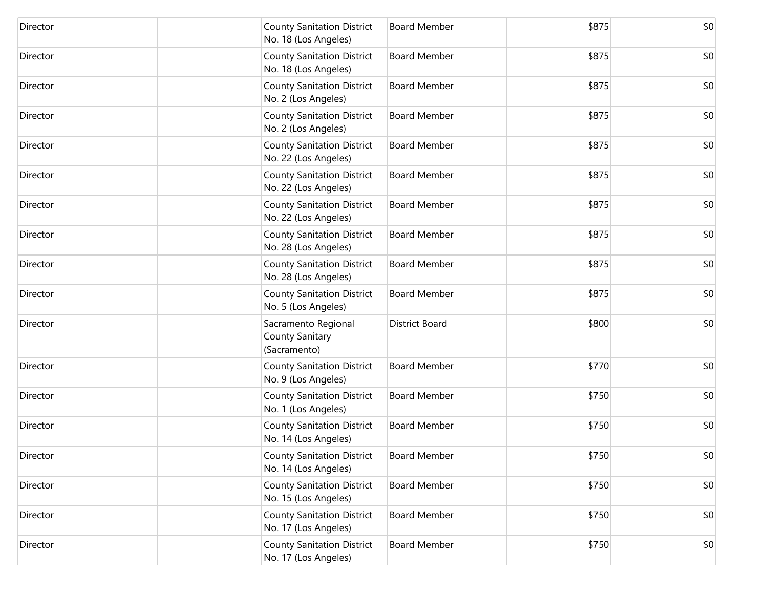| Director | <b>County Sanitation District</b><br>No. 18 (Los Angeles) | <b>Board Member</b>   | \$875 | \$0 |
|----------|-----------------------------------------------------------|-----------------------|-------|-----|
| Director | <b>County Sanitation District</b><br>No. 18 (Los Angeles) | <b>Board Member</b>   | \$875 | \$0 |
| Director | <b>County Sanitation District</b><br>No. 2 (Los Angeles)  | <b>Board Member</b>   | \$875 | \$0 |
| Director | <b>County Sanitation District</b><br>No. 2 (Los Angeles)  | <b>Board Member</b>   | \$875 | \$0 |
| Director | <b>County Sanitation District</b><br>No. 22 (Los Angeles) | <b>Board Member</b>   | \$875 | \$0 |
| Director | <b>County Sanitation District</b><br>No. 22 (Los Angeles) | <b>Board Member</b>   | \$875 | \$0 |
| Director | <b>County Sanitation District</b><br>No. 22 (Los Angeles) | <b>Board Member</b>   | \$875 | \$0 |
| Director | <b>County Sanitation District</b><br>No. 28 (Los Angeles) | <b>Board Member</b>   | \$875 | \$0 |
| Director | <b>County Sanitation District</b><br>No. 28 (Los Angeles) | <b>Board Member</b>   | \$875 | \$0 |
| Director | <b>County Sanitation District</b><br>No. 5 (Los Angeles)  | <b>Board Member</b>   | \$875 | \$0 |
| Director | Sacramento Regional<br>County Sanitary<br>(Sacramento)    | <b>District Board</b> | \$800 | \$0 |
| Director | <b>County Sanitation District</b><br>No. 9 (Los Angeles)  | <b>Board Member</b>   | \$770 | \$0 |
| Director | <b>County Sanitation District</b><br>No. 1 (Los Angeles)  | <b>Board Member</b>   | \$750 | \$0 |
| Director | <b>County Sanitation District</b><br>No. 14 (Los Angeles) | <b>Board Member</b>   | \$750 | \$0 |
| Director | <b>County Sanitation District</b><br>No. 14 (Los Angeles) | <b>Board Member</b>   | \$750 | \$0 |
| Director | <b>County Sanitation District</b><br>No. 15 (Los Angeles) | <b>Board Member</b>   | \$750 | \$0 |
| Director | <b>County Sanitation District</b><br>No. 17 (Los Angeles) | <b>Board Member</b>   | \$750 | \$0 |
| Director | <b>County Sanitation District</b><br>No. 17 (Los Angeles) | <b>Board Member</b>   | \$750 | \$0 |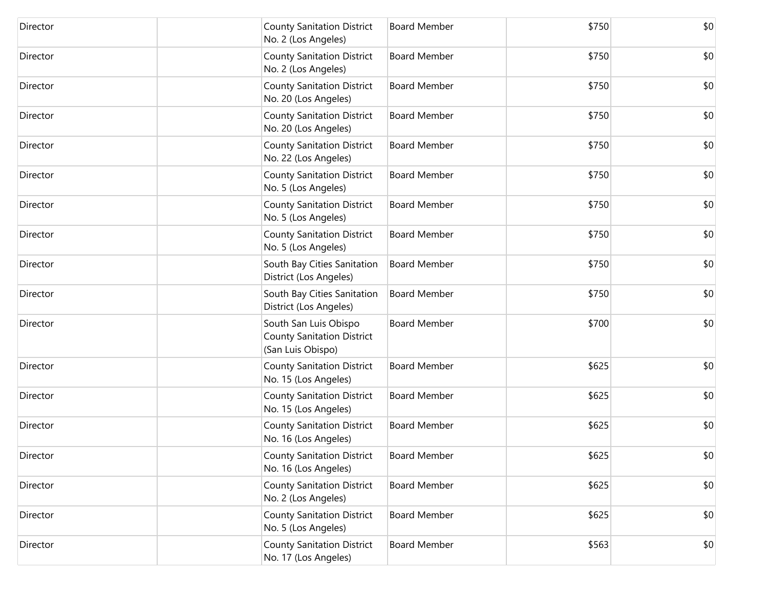| Director | <b>County Sanitation District</b><br>No. 2 (Los Angeles)                        | <b>Board Member</b> | \$750 | \$0 |
|----------|---------------------------------------------------------------------------------|---------------------|-------|-----|
| Director | <b>County Sanitation District</b><br>No. 2 (Los Angeles)                        | <b>Board Member</b> | \$750 | \$0 |
| Director | <b>County Sanitation District</b><br>No. 20 (Los Angeles)                       | <b>Board Member</b> | \$750 | \$0 |
| Director | <b>County Sanitation District</b><br>No. 20 (Los Angeles)                       | <b>Board Member</b> | \$750 | \$0 |
| Director | <b>County Sanitation District</b><br>No. 22 (Los Angeles)                       | <b>Board Member</b> | \$750 | \$0 |
| Director | <b>County Sanitation District</b><br>No. 5 (Los Angeles)                        | <b>Board Member</b> | \$750 | \$0 |
| Director | <b>County Sanitation District</b><br>No. 5 (Los Angeles)                        | <b>Board Member</b> | \$750 | \$0 |
| Director | <b>County Sanitation District</b><br>No. 5 (Los Angeles)                        | <b>Board Member</b> | \$750 | \$0 |
| Director | South Bay Cities Sanitation<br>District (Los Angeles)                           | <b>Board Member</b> | \$750 | \$0 |
| Director | South Bay Cities Sanitation<br>District (Los Angeles)                           | <b>Board Member</b> | \$750 | \$0 |
| Director | South San Luis Obispo<br><b>County Sanitation District</b><br>(San Luis Obispo) | <b>Board Member</b> | \$700 | \$0 |
| Director | <b>County Sanitation District</b><br>No. 15 (Los Angeles)                       | <b>Board Member</b> | \$625 | \$0 |
| Director | <b>County Sanitation District</b><br>No. 15 (Los Angeles)                       | <b>Board Member</b> | \$625 | \$0 |
| Director | <b>County Sanitation District</b><br>No. 16 (Los Angeles)                       | <b>Board Member</b> | \$625 | \$0 |
| Director | <b>County Sanitation District</b><br>No. 16 (Los Angeles)                       | <b>Board Member</b> | \$625 | \$0 |
| Director | <b>County Sanitation District</b><br>No. 2 (Los Angeles)                        | <b>Board Member</b> | \$625 | \$0 |
| Director | <b>County Sanitation District</b><br>No. 5 (Los Angeles)                        | <b>Board Member</b> | \$625 | \$0 |
| Director | <b>County Sanitation District</b><br>No. 17 (Los Angeles)                       | <b>Board Member</b> | \$563 | \$0 |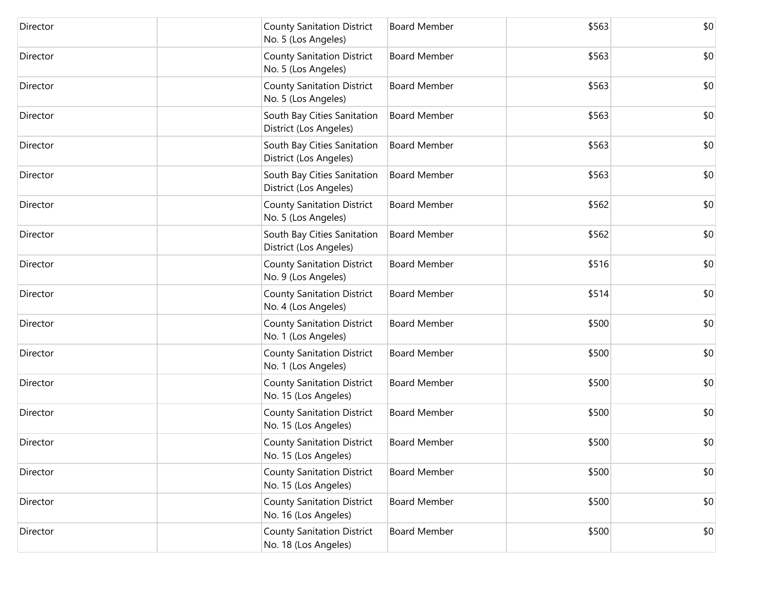| Director | <b>County Sanitation District</b><br>No. 5 (Los Angeles)  | <b>Board Member</b> | \$563 | \$0 |
|----------|-----------------------------------------------------------|---------------------|-------|-----|
| Director | <b>County Sanitation District</b><br>No. 5 (Los Angeles)  | <b>Board Member</b> | \$563 | \$0 |
| Director | <b>County Sanitation District</b><br>No. 5 (Los Angeles)  | <b>Board Member</b> | \$563 | \$0 |
| Director | South Bay Cities Sanitation<br>District (Los Angeles)     | <b>Board Member</b> | \$563 | \$0 |
| Director | South Bay Cities Sanitation<br>District (Los Angeles)     | <b>Board Member</b> | \$563 | \$0 |
| Director | South Bay Cities Sanitation<br>District (Los Angeles)     | <b>Board Member</b> | \$563 | \$0 |
| Director | <b>County Sanitation District</b><br>No. 5 (Los Angeles)  | <b>Board Member</b> | \$562 | \$0 |
| Director | South Bay Cities Sanitation<br>District (Los Angeles)     | <b>Board Member</b> | \$562 | \$0 |
| Director | <b>County Sanitation District</b><br>No. 9 (Los Angeles)  | <b>Board Member</b> | \$516 | \$0 |
| Director | <b>County Sanitation District</b><br>No. 4 (Los Angeles)  | <b>Board Member</b> | \$514 | \$0 |
| Director | <b>County Sanitation District</b><br>No. 1 (Los Angeles)  | <b>Board Member</b> | \$500 | \$0 |
| Director | <b>County Sanitation District</b><br>No. 1 (Los Angeles)  | <b>Board Member</b> | \$500 | \$0 |
| Director | <b>County Sanitation District</b><br>No. 15 (Los Angeles) | <b>Board Member</b> | \$500 | \$0 |
| Director | <b>County Sanitation District</b><br>No. 15 (Los Angeles) | <b>Board Member</b> | \$500 | \$0 |
| Director | <b>County Sanitation District</b><br>No. 15 (Los Angeles) | <b>Board Member</b> | \$500 | \$0 |
| Director | <b>County Sanitation District</b><br>No. 15 (Los Angeles) | <b>Board Member</b> | \$500 | \$0 |
| Director | <b>County Sanitation District</b><br>No. 16 (Los Angeles) | <b>Board Member</b> | \$500 | \$0 |
| Director | <b>County Sanitation District</b><br>No. 18 (Los Angeles) | <b>Board Member</b> | \$500 | \$0 |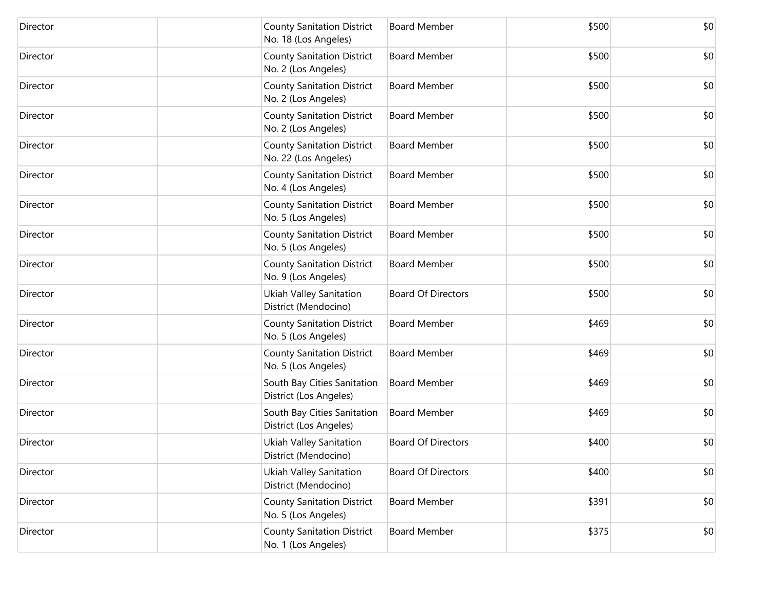| Director | <b>County Sanitation District</b><br>No. 18 (Los Angeles) | <b>Board Member</b>       | \$500 | \$0 |
|----------|-----------------------------------------------------------|---------------------------|-------|-----|
| Director | <b>County Sanitation District</b><br>No. 2 (Los Angeles)  | <b>Board Member</b>       | \$500 | \$0 |
| Director | <b>County Sanitation District</b><br>No. 2 (Los Angeles)  | <b>Board Member</b>       | \$500 | \$0 |
| Director | <b>County Sanitation District</b><br>No. 2 (Los Angeles)  | <b>Board Member</b>       | \$500 | \$0 |
| Director | <b>County Sanitation District</b><br>No. 22 (Los Angeles) | <b>Board Member</b>       | \$500 | \$0 |
| Director | <b>County Sanitation District</b><br>No. 4 (Los Angeles)  | <b>Board Member</b>       | \$500 | \$0 |
| Director | <b>County Sanitation District</b><br>No. 5 (Los Angeles)  | <b>Board Member</b>       | \$500 | \$0 |
| Director | <b>County Sanitation District</b><br>No. 5 (Los Angeles)  | <b>Board Member</b>       | \$500 | \$0 |
| Director | <b>County Sanitation District</b><br>No. 9 (Los Angeles)  | <b>Board Member</b>       | \$500 | \$0 |
| Director | Ukiah Valley Sanitation<br>District (Mendocino)           | <b>Board Of Directors</b> | \$500 | \$0 |
| Director | <b>County Sanitation District</b><br>No. 5 (Los Angeles)  | <b>Board Member</b>       | \$469 | \$0 |
| Director | <b>County Sanitation District</b><br>No. 5 (Los Angeles)  | <b>Board Member</b>       | \$469 | \$0 |
| Director | South Bay Cities Sanitation<br>District (Los Angeles)     | <b>Board Member</b>       | \$469 | \$0 |
| Director | South Bay Cities Sanitation<br>District (Los Angeles)     | <b>Board Member</b>       | \$469 | \$0 |
| Director | Ukiah Valley Sanitation<br>District (Mendocino)           | <b>Board Of Directors</b> | \$400 | \$0 |
| Director | Ukiah Valley Sanitation<br>District (Mendocino)           | <b>Board Of Directors</b> | \$400 | \$0 |
| Director | <b>County Sanitation District</b><br>No. 5 (Los Angeles)  | <b>Board Member</b>       | \$391 | \$0 |
| Director | <b>County Sanitation District</b><br>No. 1 (Los Angeles)  | <b>Board Member</b>       | \$375 | \$0 |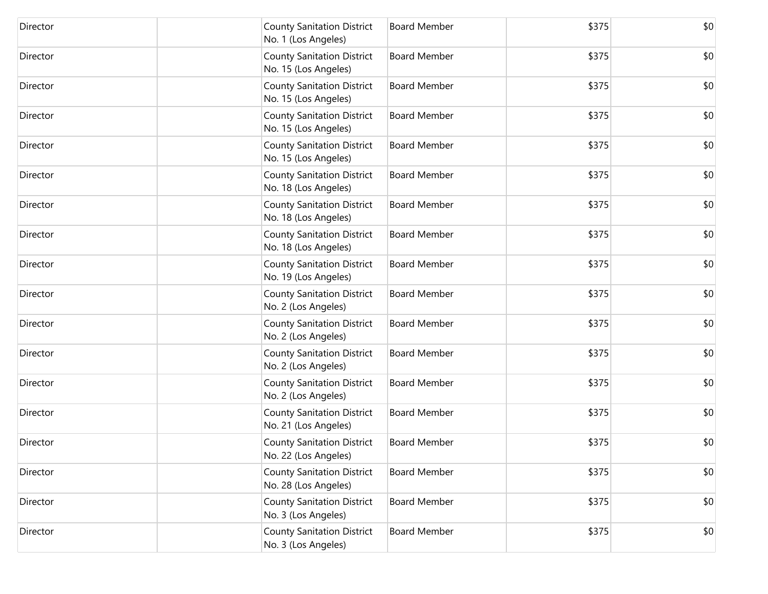| Director | <b>County Sanitation District</b><br>No. 1 (Los Angeles)  | <b>Board Member</b> | \$375 | \$0 |
|----------|-----------------------------------------------------------|---------------------|-------|-----|
| Director | <b>County Sanitation District</b><br>No. 15 (Los Angeles) | <b>Board Member</b> | \$375 | \$0 |
| Director | <b>County Sanitation District</b><br>No. 15 (Los Angeles) | <b>Board Member</b> | \$375 | \$0 |
| Director | <b>County Sanitation District</b><br>No. 15 (Los Angeles) | <b>Board Member</b> | \$375 | \$0 |
| Director | <b>County Sanitation District</b><br>No. 15 (Los Angeles) | <b>Board Member</b> | \$375 | \$0 |
| Director | <b>County Sanitation District</b><br>No. 18 (Los Angeles) | <b>Board Member</b> | \$375 | \$0 |
| Director | <b>County Sanitation District</b><br>No. 18 (Los Angeles) | <b>Board Member</b> | \$375 | \$0 |
| Director | <b>County Sanitation District</b><br>No. 18 (Los Angeles) | <b>Board Member</b> | \$375 | \$0 |
| Director | <b>County Sanitation District</b><br>No. 19 (Los Angeles) | <b>Board Member</b> | \$375 | \$0 |
| Director | <b>County Sanitation District</b><br>No. 2 (Los Angeles)  | <b>Board Member</b> | \$375 | \$0 |
| Director | <b>County Sanitation District</b><br>No. 2 (Los Angeles)  | <b>Board Member</b> | \$375 | \$0 |
| Director | <b>County Sanitation District</b><br>No. 2 (Los Angeles)  | <b>Board Member</b> | \$375 | \$0 |
| Director | <b>County Sanitation District</b><br>No. 2 (Los Angeles)  | <b>Board Member</b> | \$375 | \$0 |
| Director | <b>County Sanitation District</b><br>No. 21 (Los Angeles) | <b>Board Member</b> | \$375 | \$0 |
| Director | <b>County Sanitation District</b><br>No. 22 (Los Angeles) | <b>Board Member</b> | \$375 | \$0 |
| Director | <b>County Sanitation District</b><br>No. 28 (Los Angeles) | <b>Board Member</b> | \$375 | \$0 |
| Director | <b>County Sanitation District</b><br>No. 3 (Los Angeles)  | <b>Board Member</b> | \$375 | \$0 |
| Director | <b>County Sanitation District</b><br>No. 3 (Los Angeles)  | <b>Board Member</b> | \$375 | \$0 |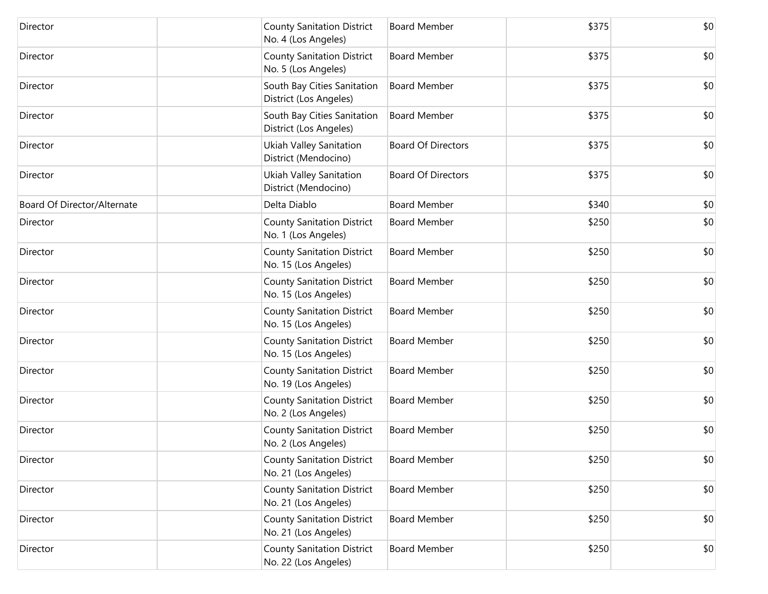| Director                    | <b>County Sanitation District</b><br>No. 4 (Los Angeles)  | <b>Board Member</b>       | \$375 | \$0 |
|-----------------------------|-----------------------------------------------------------|---------------------------|-------|-----|
| Director                    | <b>County Sanitation District</b><br>No. 5 (Los Angeles)  | <b>Board Member</b>       | \$375 | \$0 |
| Director                    | South Bay Cities Sanitation<br>District (Los Angeles)     | <b>Board Member</b>       | \$375 | \$0 |
| Director                    | South Bay Cities Sanitation<br>District (Los Angeles)     | <b>Board Member</b>       | \$375 | \$0 |
| Director                    | Ukiah Valley Sanitation<br>District (Mendocino)           | <b>Board Of Directors</b> | \$375 | \$0 |
| Director                    | Ukiah Valley Sanitation<br>District (Mendocino)           | <b>Board Of Directors</b> | \$375 | \$0 |
| Board Of Director/Alternate | Delta Diablo                                              | <b>Board Member</b>       | \$340 | \$0 |
| Director                    | <b>County Sanitation District</b><br>No. 1 (Los Angeles)  | <b>Board Member</b>       | \$250 | \$0 |
| Director                    | <b>County Sanitation District</b><br>No. 15 (Los Angeles) | <b>Board Member</b>       | \$250 | \$0 |
| Director                    | <b>County Sanitation District</b><br>No. 15 (Los Angeles) | <b>Board Member</b>       | \$250 | \$0 |
| Director                    | <b>County Sanitation District</b><br>No. 15 (Los Angeles) | <b>Board Member</b>       | \$250 | \$0 |
| Director                    | <b>County Sanitation District</b><br>No. 15 (Los Angeles) | <b>Board Member</b>       | \$250 | \$0 |
| Director                    | <b>County Sanitation District</b><br>No. 19 (Los Angeles) | <b>Board Member</b>       | \$250 | \$0 |
| Director                    | <b>County Sanitation District</b><br>No. 2 (Los Angeles)  | <b>Board Member</b>       | \$250 | \$0 |
| Director                    | <b>County Sanitation District</b><br>No. 2 (Los Angeles)  | <b>Board Member</b>       | \$250 | \$0 |
| Director                    | <b>County Sanitation District</b><br>No. 21 (Los Angeles) | <b>Board Member</b>       | \$250 | \$0 |
| Director                    | <b>County Sanitation District</b><br>No. 21 (Los Angeles) | <b>Board Member</b>       | \$250 | \$0 |
| Director                    | <b>County Sanitation District</b><br>No. 21 (Los Angeles) | <b>Board Member</b>       | \$250 | \$0 |
| Director                    | <b>County Sanitation District</b><br>No. 22 (Los Angeles) | <b>Board Member</b>       | \$250 | \$0 |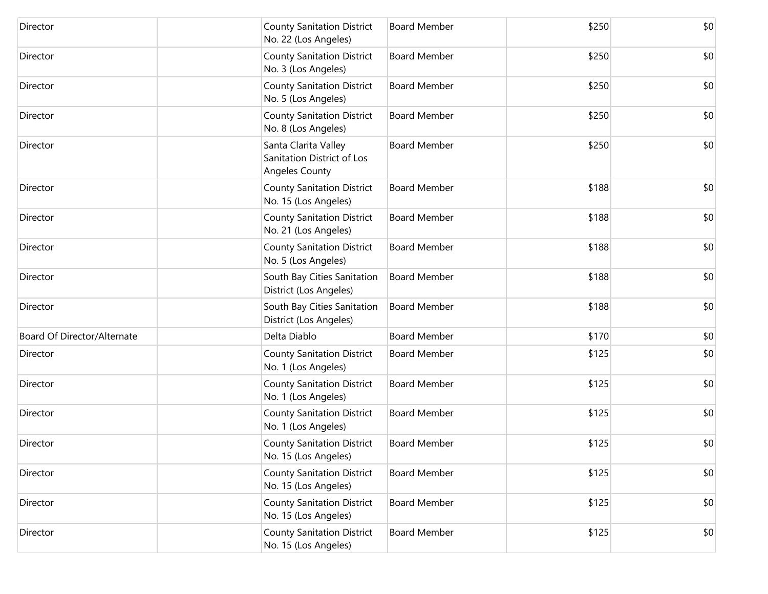| Director                    | <b>County Sanitation District</b><br>No. 22 (Los Angeles)                   | <b>Board Member</b> | \$250 | \$0 |
|-----------------------------|-----------------------------------------------------------------------------|---------------------|-------|-----|
| Director                    | <b>County Sanitation District</b><br>No. 3 (Los Angeles)                    | <b>Board Member</b> | \$250 | \$0 |
| Director                    | <b>County Sanitation District</b><br>No. 5 (Los Angeles)                    | <b>Board Member</b> | \$250 | \$0 |
| Director                    | <b>County Sanitation District</b><br>No. 8 (Los Angeles)                    | <b>Board Member</b> | \$250 | \$0 |
| Director                    | Santa Clarita Valley<br>Sanitation District of Los<br><b>Angeles County</b> | <b>Board Member</b> | \$250 | \$0 |
| Director                    | <b>County Sanitation District</b><br>No. 15 (Los Angeles)                   | <b>Board Member</b> | \$188 | \$0 |
| Director                    | <b>County Sanitation District</b><br>No. 21 (Los Angeles)                   | <b>Board Member</b> | \$188 | \$0 |
| Director                    | <b>County Sanitation District</b><br>No. 5 (Los Angeles)                    | <b>Board Member</b> | \$188 | \$0 |
| Director                    | South Bay Cities Sanitation<br>District (Los Angeles)                       | <b>Board Member</b> | \$188 | \$0 |
| Director                    | South Bay Cities Sanitation<br>District (Los Angeles)                       | <b>Board Member</b> | \$188 | \$0 |
| Board Of Director/Alternate | Delta Diablo                                                                | <b>Board Member</b> | \$170 | \$0 |
| Director                    | <b>County Sanitation District</b><br>No. 1 (Los Angeles)                    | <b>Board Member</b> | \$125 | \$0 |
| Director                    | <b>County Sanitation District</b><br>No. 1 (Los Angeles)                    | <b>Board Member</b> | \$125 | \$0 |
| Director                    | <b>County Sanitation District</b><br>No. 1 (Los Angeles)                    | <b>Board Member</b> | \$125 | \$0 |
| Director                    | <b>County Sanitation District</b><br>No. 15 (Los Angeles)                   | <b>Board Member</b> | \$125 | \$0 |
| Director                    | <b>County Sanitation District</b><br>No. 15 (Los Angeles)                   | <b>Board Member</b> | \$125 | \$0 |
| Director                    | <b>County Sanitation District</b><br>No. 15 (Los Angeles)                   | <b>Board Member</b> | \$125 | \$0 |
| Director                    | <b>County Sanitation District</b><br>No. 15 (Los Angeles)                   | <b>Board Member</b> | \$125 | \$0 |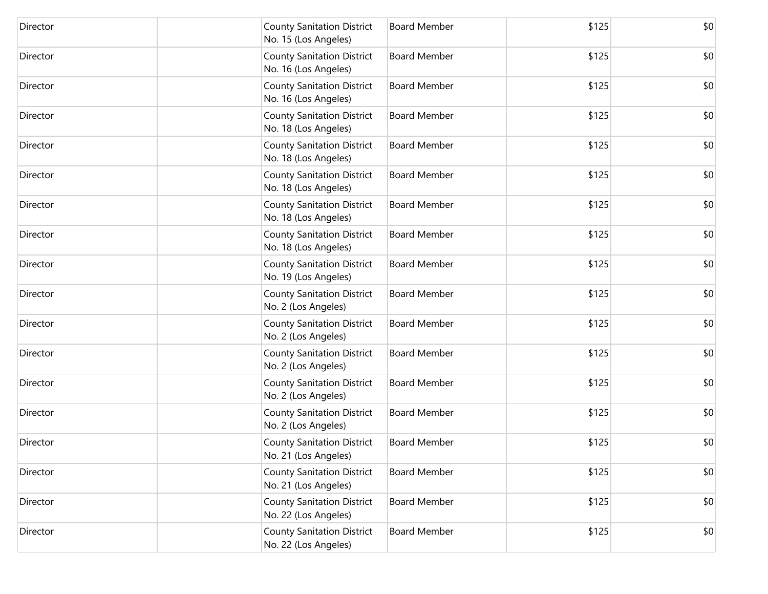| Director | <b>County Sanitation District</b><br>No. 15 (Los Angeles) | <b>Board Member</b> | \$125 | \$0 |
|----------|-----------------------------------------------------------|---------------------|-------|-----|
| Director | <b>County Sanitation District</b><br>No. 16 (Los Angeles) | <b>Board Member</b> | \$125 | \$0 |
| Director | <b>County Sanitation District</b><br>No. 16 (Los Angeles) | <b>Board Member</b> | \$125 | \$0 |
| Director | <b>County Sanitation District</b><br>No. 18 (Los Angeles) | <b>Board Member</b> | \$125 | \$0 |
| Director | <b>County Sanitation District</b><br>No. 18 (Los Angeles) | <b>Board Member</b> | \$125 | \$0 |
| Director | <b>County Sanitation District</b><br>No. 18 (Los Angeles) | <b>Board Member</b> | \$125 | \$0 |
| Director | <b>County Sanitation District</b><br>No. 18 (Los Angeles) | <b>Board Member</b> | \$125 | \$0 |
| Director | <b>County Sanitation District</b><br>No. 18 (Los Angeles) | <b>Board Member</b> | \$125 | \$0 |
| Director | <b>County Sanitation District</b><br>No. 19 (Los Angeles) | <b>Board Member</b> | \$125 | \$0 |
| Director | <b>County Sanitation District</b><br>No. 2 (Los Angeles)  | <b>Board Member</b> | \$125 | \$0 |
| Director | <b>County Sanitation District</b><br>No. 2 (Los Angeles)  | <b>Board Member</b> | \$125 | \$0 |
| Director | <b>County Sanitation District</b><br>No. 2 (Los Angeles)  | <b>Board Member</b> | \$125 | \$0 |
| Director | <b>County Sanitation District</b><br>No. 2 (Los Angeles)  | <b>Board Member</b> | \$125 | \$0 |
| Director | <b>County Sanitation District</b><br>No. 2 (Los Angeles)  | <b>Board Member</b> | \$125 | \$0 |
| Director | <b>County Sanitation District</b><br>No. 21 (Los Angeles) | <b>Board Member</b> | \$125 | \$0 |
| Director | <b>County Sanitation District</b><br>No. 21 (Los Angeles) | <b>Board Member</b> | \$125 | \$0 |
| Director | <b>County Sanitation District</b><br>No. 22 (Los Angeles) | <b>Board Member</b> | \$125 | \$0 |
| Director | <b>County Sanitation District</b><br>No. 22 (Los Angeles) | <b>Board Member</b> | \$125 | \$0 |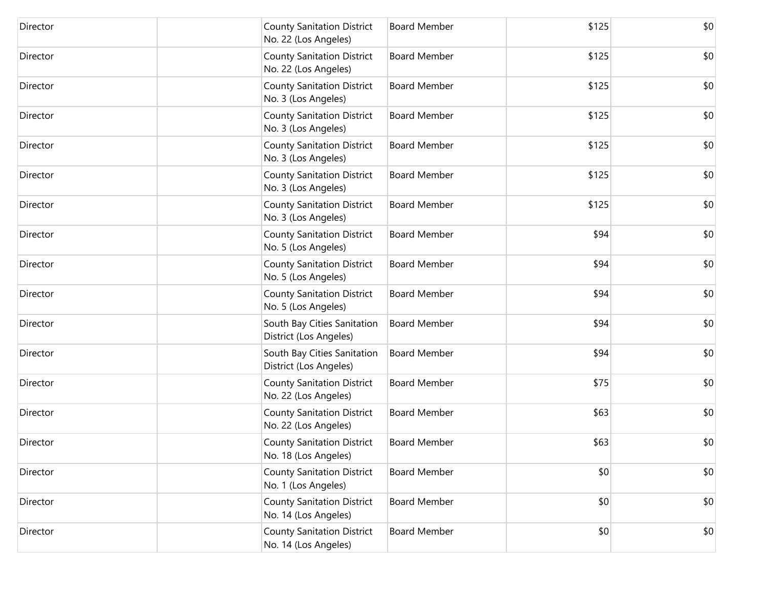| Director | <b>County Sanitation District</b><br>No. 22 (Los Angeles) | <b>Board Member</b> | \$125 | \$0 |
|----------|-----------------------------------------------------------|---------------------|-------|-----|
| Director | <b>County Sanitation District</b><br>No. 22 (Los Angeles) | <b>Board Member</b> | \$125 | \$0 |
| Director | <b>County Sanitation District</b><br>No. 3 (Los Angeles)  | <b>Board Member</b> | \$125 | \$0 |
| Director | <b>County Sanitation District</b><br>No. 3 (Los Angeles)  | <b>Board Member</b> | \$125 | \$0 |
| Director | <b>County Sanitation District</b><br>No. 3 (Los Angeles)  | <b>Board Member</b> | \$125 | \$0 |
| Director | <b>County Sanitation District</b><br>No. 3 (Los Angeles)  | <b>Board Member</b> | \$125 | \$0 |
| Director | <b>County Sanitation District</b><br>No. 3 (Los Angeles)  | <b>Board Member</b> | \$125 | \$0 |
| Director | <b>County Sanitation District</b><br>No. 5 (Los Angeles)  | <b>Board Member</b> | \$94  | \$0 |
| Director | <b>County Sanitation District</b><br>No. 5 (Los Angeles)  | <b>Board Member</b> | \$94  | \$0 |
| Director | <b>County Sanitation District</b><br>No. 5 (Los Angeles)  | <b>Board Member</b> | \$94  | \$0 |
| Director | South Bay Cities Sanitation<br>District (Los Angeles)     | <b>Board Member</b> | \$94  | \$0 |
| Director | South Bay Cities Sanitation<br>District (Los Angeles)     | <b>Board Member</b> | \$94  | \$0 |
| Director | <b>County Sanitation District</b><br>No. 22 (Los Angeles) | <b>Board Member</b> | \$75  | \$0 |
| Director | <b>County Sanitation District</b><br>No. 22 (Los Angeles) | <b>Board Member</b> | \$63  | \$0 |
| Director | <b>County Sanitation District</b><br>No. 18 (Los Angeles) | <b>Board Member</b> | \$63  | \$0 |
| Director | <b>County Sanitation District</b><br>No. 1 (Los Angeles)  | <b>Board Member</b> | \$0   | \$0 |
| Director | <b>County Sanitation District</b><br>No. 14 (Los Angeles) | <b>Board Member</b> | \$0   | \$0 |
| Director | <b>County Sanitation District</b><br>No. 14 (Los Angeles) | <b>Board Member</b> | \$0   | \$0 |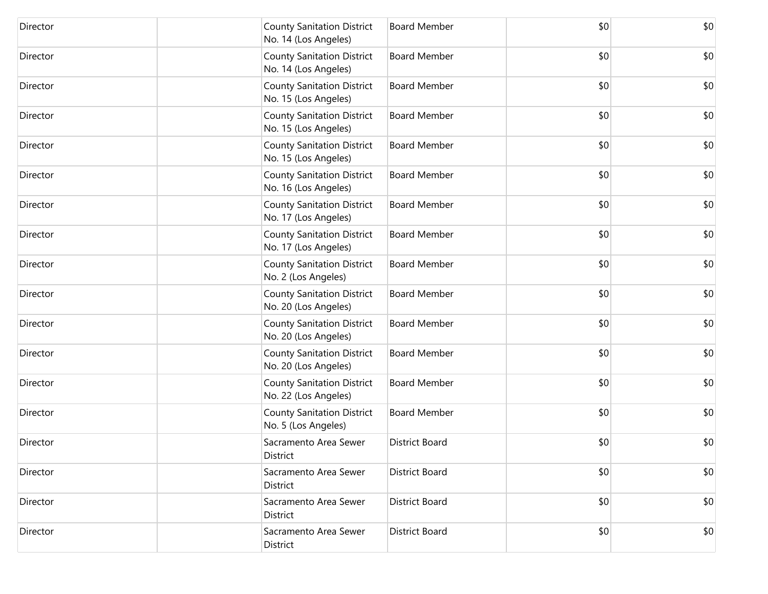| Director | <b>County Sanitation District</b><br>No. 14 (Los Angeles) | <b>Board Member</b>   | \$0 | \$0 |
|----------|-----------------------------------------------------------|-----------------------|-----|-----|
| Director | <b>County Sanitation District</b><br>No. 14 (Los Angeles) | <b>Board Member</b>   | \$0 | \$0 |
| Director | <b>County Sanitation District</b><br>No. 15 (Los Angeles) | <b>Board Member</b>   | \$0 | \$0 |
| Director | <b>County Sanitation District</b><br>No. 15 (Los Angeles) | <b>Board Member</b>   | \$0 | \$0 |
| Director | <b>County Sanitation District</b><br>No. 15 (Los Angeles) | <b>Board Member</b>   | \$0 | \$0 |
| Director | <b>County Sanitation District</b><br>No. 16 (Los Angeles) | <b>Board Member</b>   | \$0 | \$0 |
| Director | <b>County Sanitation District</b><br>No. 17 (Los Angeles) | <b>Board Member</b>   | \$0 | \$0 |
| Director | <b>County Sanitation District</b><br>No. 17 (Los Angeles) | <b>Board Member</b>   | \$0 | \$0 |
| Director | <b>County Sanitation District</b><br>No. 2 (Los Angeles)  | <b>Board Member</b>   | \$0 | \$0 |
| Director | <b>County Sanitation District</b><br>No. 20 (Los Angeles) | <b>Board Member</b>   | \$0 | \$0 |
| Director | <b>County Sanitation District</b><br>No. 20 (Los Angeles) | <b>Board Member</b>   | \$0 | \$0 |
| Director | <b>County Sanitation District</b><br>No. 20 (Los Angeles) | <b>Board Member</b>   | \$0 | \$0 |
| Director | <b>County Sanitation District</b><br>No. 22 (Los Angeles) | <b>Board Member</b>   | \$0 | \$0 |
| Director | <b>County Sanitation District</b><br>No. 5 (Los Angeles)  | <b>Board Member</b>   | \$0 | \$0 |
| Director | Sacramento Area Sewer<br>District                         | <b>District Board</b> | \$0 | \$0 |
| Director | Sacramento Area Sewer<br>District                         | District Board        | \$0 | \$0 |
| Director | Sacramento Area Sewer<br>District                         | District Board        | \$0 | \$0 |
| Director | Sacramento Area Sewer<br>District                         | District Board        | \$0 | \$0 |